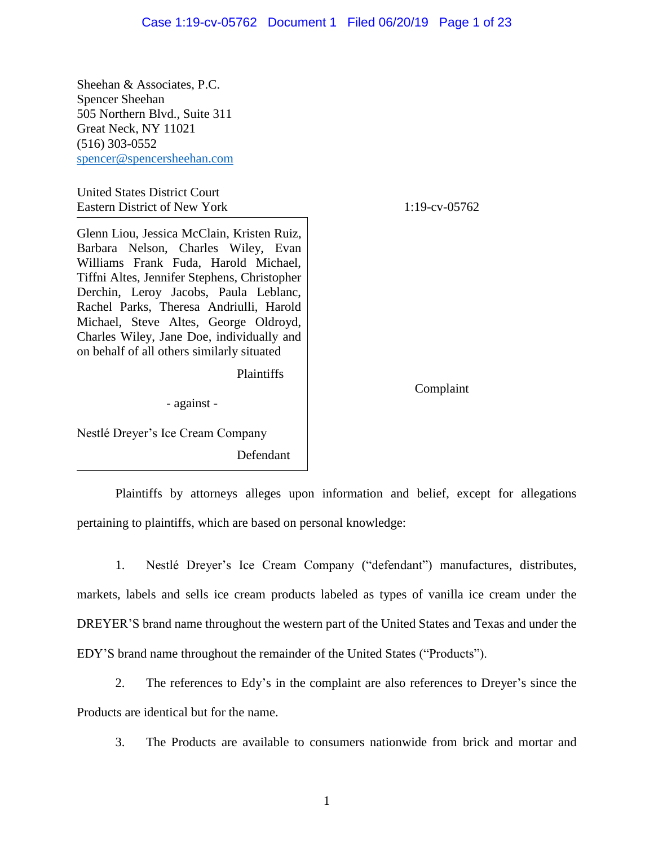Sheehan & Associates, P.C. Spencer Sheehan 505 Northern Blvd., Suite 311 Great Neck, NY 11021 (516) 303-0552 [spencer@spencersheehan.com](mailto:spencer@spencersheehan.com)

United States District Court Eastern District of New York 1:19-cv-05762

Glenn Liou, Jessica McClain, Kristen Ruiz, Barbara Nelson, Charles Wiley, Evan Williams Frank Fuda, Harold Michael, Tiffni Altes, Jennifer Stephens, Christopher Derchin, Leroy Jacobs, Paula Leblanc, Rachel Parks, Theresa Andriulli, Harold Michael, Steve Altes, George Oldroyd, Charles Wiley, Jane Doe, individually and on behalf of all others similarly situated

Plaintiffs

- against -

Complaint

Nestlé Dreyer's Ice Cream Company

Defendant

Plaintiffs by attorneys alleges upon information and belief, except for allegations pertaining to plaintiffs, which are based on personal knowledge:

1. Nestlé Dreyer's Ice Cream Company ("defendant") manufactures, distributes, markets, labels and sells ice cream products labeled as types of vanilla ice cream under the DREYER'S brand name throughout the western part of the United States and Texas and under the EDY'S brand name throughout the remainder of the United States ("Products").

2. The references to Edy's in the complaint are also references to Dreyer's since the Products are identical but for the name.

3. The Products are available to consumers nationwide from brick and mortar and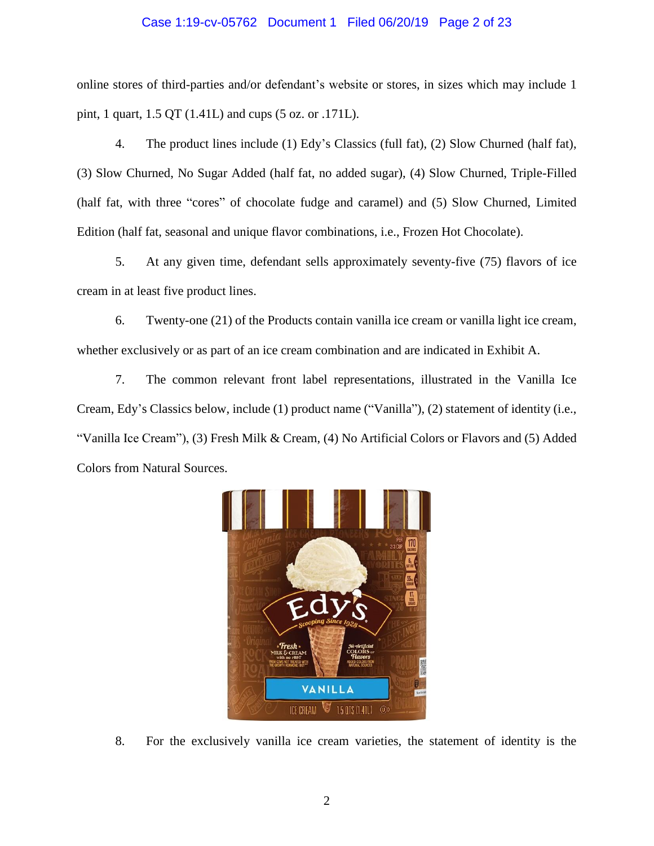### Case 1:19-cv-05762 Document 1 Filed 06/20/19 Page 2 of 23

online stores of third-parties and/or defendant's website or stores, in sizes which may include 1 pint, 1 quart, 1.5 QT (1.41L) and cups (5 oz. or .171L).

4. The product lines include (1) Edy's Classics (full fat), (2) Slow Churned (half fat), (3) Slow Churned, No Sugar Added (half fat, no added sugar), (4) Slow Churned, Triple-Filled (half fat, with three "cores" of chocolate fudge and caramel) and (5) Slow Churned, Limited Edition (half fat, seasonal and unique flavor combinations, i.e., Frozen Hot Chocolate).

5. At any given time, defendant sells approximately seventy-five (75) flavors of ice cream in at least five product lines.

6. Twenty-one (21) of the Products contain vanilla ice cream or vanilla light ice cream, whether exclusively or as part of an ice cream combination and are indicated in Exhibit A.

7. The common relevant front label representations, illustrated in the Vanilla Ice Cream, Edy's Classics below, include (1) product name ("Vanilla"), (2) statement of identity (i.e., "Vanilla Ice Cream"), (3) Fresh Milk & Cream, (4) No Artificial Colors or Flavors and (5) Added Colors from Natural Sources.



8. For the exclusively vanilla ice cream varieties, the statement of identity is the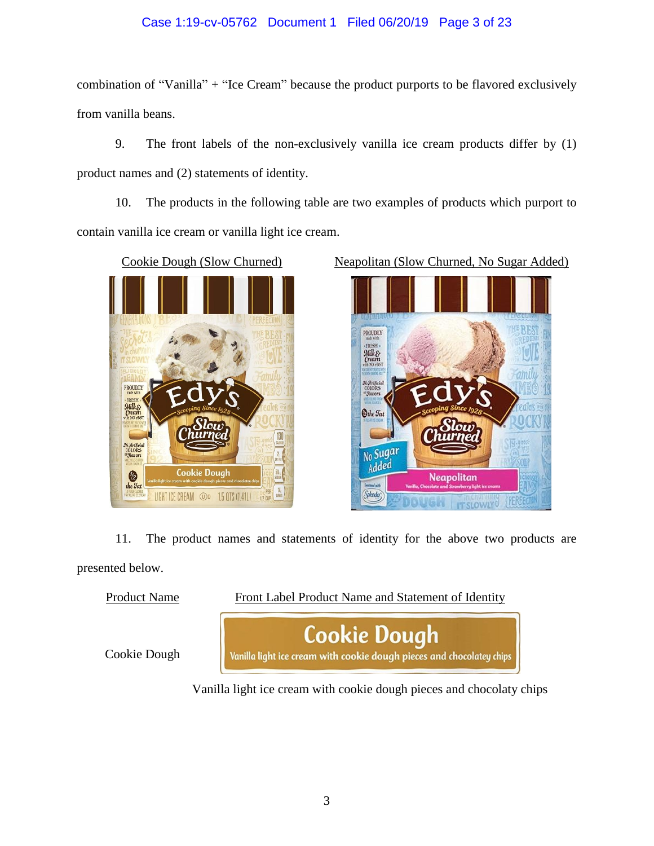# Case 1:19-cv-05762 Document 1 Filed 06/20/19 Page 3 of 23

combination of "Vanilla" + "Ice Cream" because the product purports to be flavored exclusively from vanilla beans.

9. The front labels of the non-exclusively vanilla ice cream products differ by (1) product names and (2) statements of identity.

10. The products in the following table are two examples of products which purport to contain vanilla ice cream or vanilla light ice cream.





11. The product names and statements of identity for the above two products are presented below.



Vanilla light ice cream with cookie dough pieces and chocolaty chips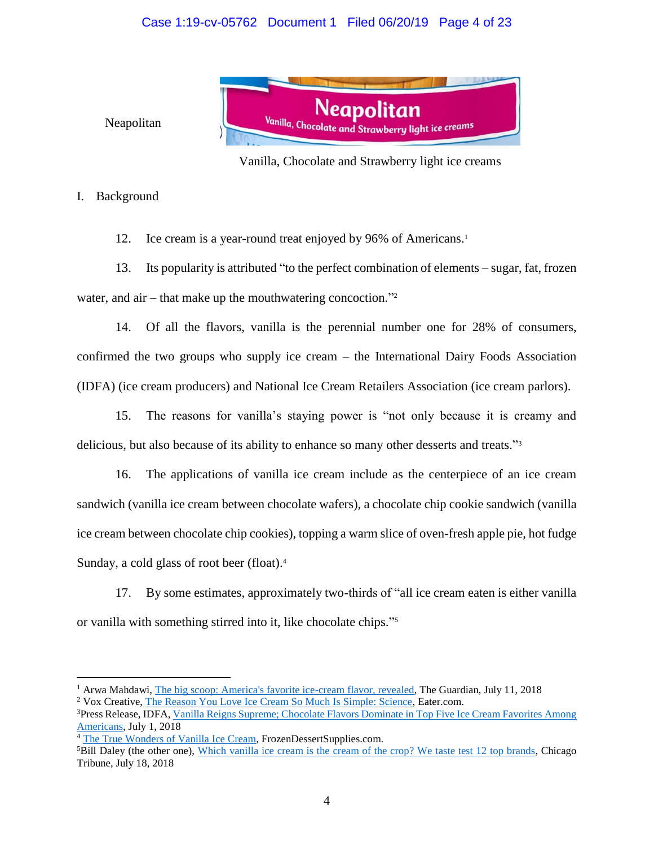# Case 1:19-cv-05762 Document 1 Filed 06/20/19 Page 4 of 23



### Neapolitan

Vanilla, Chocolate and Strawberry light ice creams

### I. Background

12. Ice cream is a year-round treat enjoyed by 96% of Americans. 1

13. Its popularity is attributed "to the perfect combination of elements – sugar, fat, frozen water, and air – that make up the mouthwatering concoction."<sup>2</sup>

14. Of all the flavors, vanilla is the perennial number one for 28% of consumers, confirmed the two groups who supply ice cream – the International Dairy Foods Association (IDFA) (ice cream producers) and National Ice Cream Retailers Association (ice cream parlors).

15. The reasons for vanilla's staying power is "not only because it is creamy and delicious, but also because of its ability to enhance so many other desserts and treats." 3

16. The applications of vanilla ice cream include as the centerpiece of an ice cream sandwich (vanilla ice cream between chocolate wafers), a chocolate chip cookie sandwich (vanilla ice cream between chocolate chip cookies), topping a warm slice of oven-fresh apple pie, hot fudge Sunday, a cold glass of root beer (float). 4

17. By some estimates, approximately two-thirds of "all ice cream eaten is either vanilla or vanilla with something stirred into it, like chocolate chips." 5

<sup>&</sup>lt;sup>1</sup> Arwa Mahdawi, [The big scoop: America's favorite ice-cream flavor, revealed,](https://perma.cc/CB5F-6QA6) The Guardian, July 11, 2018

<sup>2</sup> Vox Creative, [The Reason You Love Ice Cream So Much Is Simple: Science,](https://www.eater.com/ad/16388088/science-chemistry-ice-cream) Eater.com.

<sup>3</sup>Press Release, IDFA, [Vanilla Reigns Supreme; Chocolate Flavors Dominate in Top Five Ice Cream Favorites Among](https://perma.cc/FG3T-LZKP)  [Americans,](https://perma.cc/FG3T-LZKP) July 1, 2018

<sup>&</sup>lt;sup>4</sup> The True Wonde<u>rs of Vanilla Ice Cream</u>, FrozenDessertSupplies.com. <sup>5</sup>Bill Daley (the other one), [Which vanilla ice cream is the cream of the crop? We taste test 12 top brands,](https://www.chicagotribune.com/dining/craving/ct-food-vanilla-ice-cream-tasting-0718-story.html) Chicago

Tribune, July 18, 2018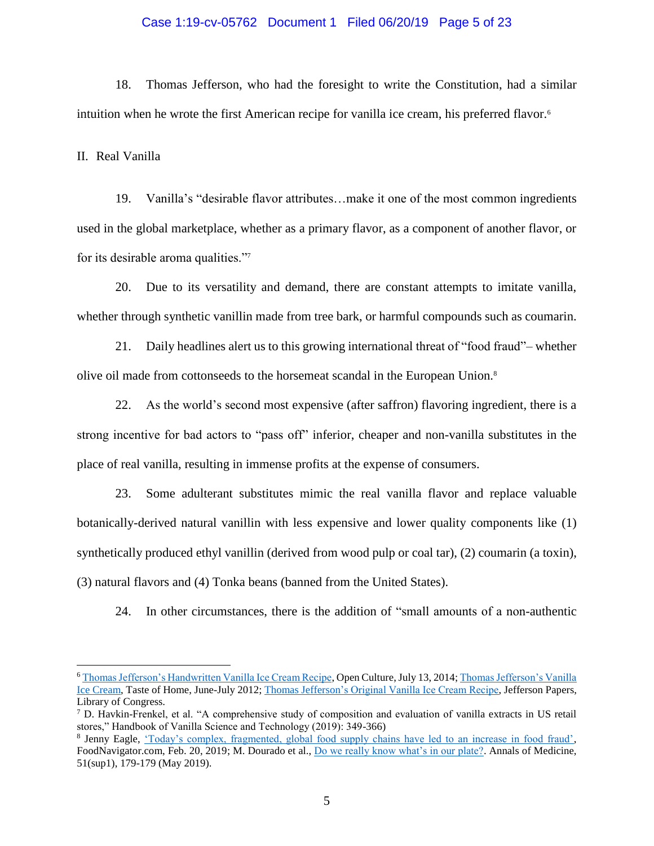### Case 1:19-cv-05762 Document 1 Filed 06/20/19 Page 5 of 23

18. Thomas Jefferson, who had the foresight to write the Constitution, had a similar intuition when he wrote the first American recipe for vanilla ice cream, his preferred flavor. 6

II. Real Vanilla

 $\overline{a}$ 

19. Vanilla's "desirable flavor attributes…make it one of the most common ingredients used in the global marketplace, whether as a primary flavor, as a component of another flavor, or for its desirable aroma qualities."<sup>7</sup>

20. Due to its versatility and demand, there are constant attempts to imitate vanilla, whether through synthetic vanillin made from tree bark, or harmful compounds such as coumarin.

21. Daily headlines alert us to this growing international threat of "food fraud"– whether olive oil made from cottonseeds to the horsemeat scandal in the European Union.<sup>8</sup>

22. As the world's second most expensive (after saffron) flavoring ingredient, there is a strong incentive for bad actors to "pass off" inferior, cheaper and non-vanilla substitutes in the place of real vanilla, resulting in immense profits at the expense of consumers.

23. Some adulterant substitutes mimic the real vanilla flavor and replace valuable botanically-derived natural vanillin with less expensive and lower quality components like (1) synthetically produced ethyl vanillin (derived from wood pulp or coal tar), (2) coumarin (a toxin), (3) natural flavors and (4) Tonka beans (banned from the United States).

24. In other circumstances, there is the addition of "small amounts of a non-authentic

<sup>6</sup> [Thomas Jefferson's Handwritten Vanilla Ice Cream Recipe,](http://www.openculture.com/2014/07/thomas-jeffersons-handwritten-vanilla-ice-cream-recipe.html) Open Culture, July 13, 2014[; Thomas Jefferson's Vanilla](https://www.tasteofhome.com/recipes/thomas-jefferson-s-vanilla-ice-cream/)  [Ice Cream,](https://www.tasteofhome.com/recipes/thomas-jefferson-s-vanilla-ice-cream/) Taste of Home, June-July 2012[; Thomas Jefferson's Original Vanilla Ice Cream Recipe,](http://www.loc.gov/exhibits/treasures/images/uc004810.jpg) Jefferson Papers, Library of Congress.

 $7$  D. Havkin-Frenkel, et al. "A comprehensive study of composition and evaluation of vanilla extracts in US retail stores," Handbook of Vanilla Science and Technology (2019): 349-366)

<sup>&</sup>lt;sup>8</sup> Jenny Eagle, ['Today's complex, fragmented, global food supply chains have led to an increase in food fraud',](https://www.foodnavigator.com/Article/2019/02/20/Fragmented-global-supply-chains-have-led-to-an-increase-in-food-fraud) FoodNavigator.com, Feb. 20, 2019; M. Dourado et al., [Do we really know what's in our plate?.](https://www.tandfonline.com/doi/abs/10.1080/07853890.2018.1562748) Annals of Medicine, 51(sup1), 179-179 (May 2019).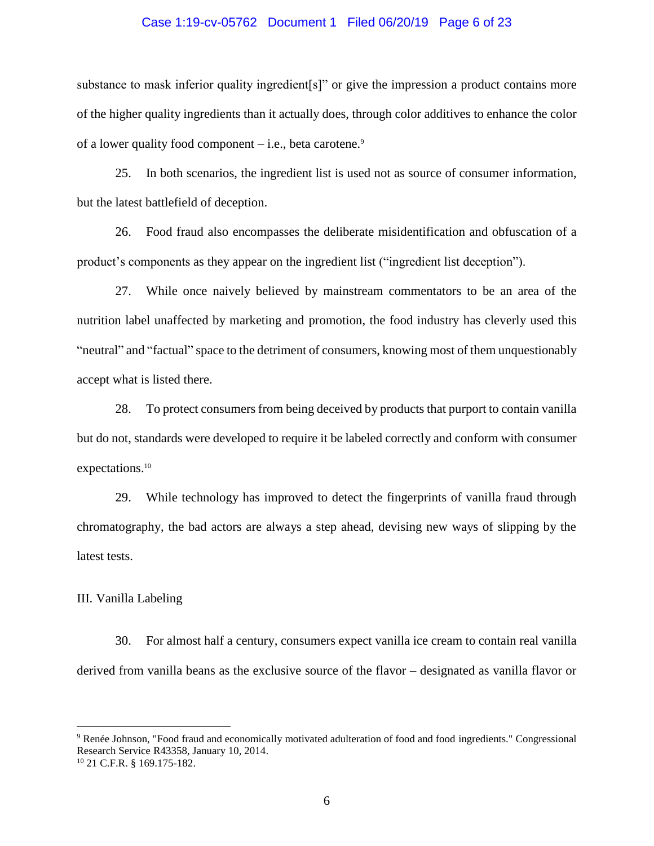### Case 1:19-cv-05762 Document 1 Filed 06/20/19 Page 6 of 23

substance to mask inferior quality ingredient [s]" or give the impression a product contains more of the higher quality ingredients than it actually does, through color additives to enhance the color of a lower quality food component  $-$  i.e., beta carotene.<sup>9</sup>

25. In both scenarios, the ingredient list is used not as source of consumer information, but the latest battlefield of deception.

26. Food fraud also encompasses the deliberate misidentification and obfuscation of a product's components as they appear on the ingredient list ("ingredient list deception").

27. While once naively believed by mainstream commentators to be an area of the nutrition label unaffected by marketing and promotion, the food industry has cleverly used this "neutral" and "factual" space to the detriment of consumers, knowing most of them unquestionably accept what is listed there.

28. To protect consumers from being deceived by products that purport to contain vanilla but do not, standards were developed to require it be labeled correctly and conform with consumer expectations.<sup>10</sup>

29. While technology has improved to detect the fingerprints of vanilla fraud through chromatography, the bad actors are always a step ahead, devising new ways of slipping by the latest tests.

### III. Vanilla Labeling

 $\overline{a}$ 

30. For almost half a century, consumers expect vanilla ice cream to contain real vanilla derived from vanilla beans as the exclusive source of the flavor – designated as vanilla flavor or

<sup>9</sup> Renée Johnson, "Food fraud and economically motivated adulteration of food and food ingredients." Congressional Research Service R43358, January 10, 2014. <sup>10</sup> 21 C.F.R. § 169.175-182.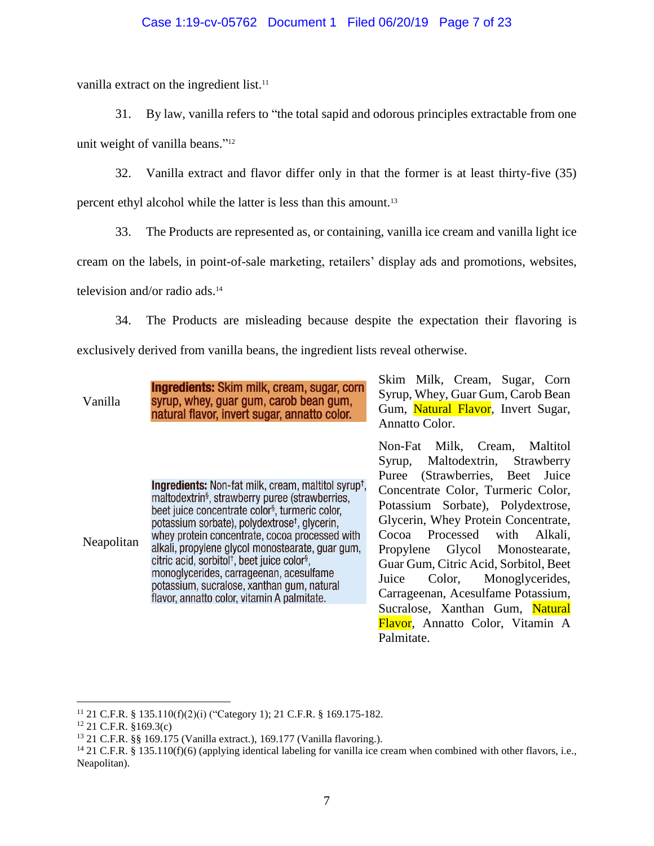### Case 1:19-cv-05762 Document 1 Filed 06/20/19 Page 7 of 23

vanilla extract on the ingredient list.<sup>11</sup>

31. By law, vanilla refers to "the total sapid and odorous principles extractable from one

unit weight of vanilla beans."<sup>12</sup>

32. Vanilla extract and flavor differ only in that the former is at least thirty-five (35)

percent ethyl alcohol while the latter is less than this amount.<sup>13</sup>

33. The Products are represented as, or containing, vanilla ice cream and vanilla light ice

cream on the labels, in point-of-sale marketing, retailers' display ads and promotions, websites,

television and/or radio ads.<sup>14</sup>

34. The Products are misleading because despite the expectation their flavoring is exclusively derived from vanilla beans, the ingredient lists reveal otherwise.

| Vanilla | <b>Ingredients:</b> Skim milk, cream, sugar, corn |
|---------|---------------------------------------------------|
|         | syrup, whey, guar gum, carob bean gum,            |
|         | natural flavor, invert sugar, annatto color.      |

**Ingredients:** Non-fat milk, cream, maltitol syrup<sup>+</sup>. maltodextrin<sup>§</sup>, strawberry puree (strawberries, beet juice concentrate color<sup>§</sup>, turmeric color, potassium sorbate), polydextrose<sup>t</sup>, glycerin, whey protein concentrate, cocoa processed with Neapolitan alkali, propylene glycol monostearate, guar gum, citric acid, sorbitol<sup>†</sup>, beet juice color<sup>§</sup>, monoglycerides, carrageenan, acesulfame potassium, sucralose, xanthan gum, natural flavor, annatto color, vitamin A palmitate.

Skim Milk, Cream, Sugar, Corn Syrup, Whey, Guar Gum, Carob Bean Gum, Natural Flavor, Invert Sugar, Annatto Color.

Non-Fat Milk, Cream, Maltitol Syrup, Maltodextrin, Strawberry Puree (Strawberries, Beet Juice Concentrate Color, Turmeric Color, Potassium Sorbate), Polydextrose, Glycerin, Whey Protein Concentrate, Cocoa Processed with Alkali, Propylene Glycol Monostearate, Guar Gum, Citric Acid, Sorbitol, Beet Juice Color, Monoglycerides, Carrageenan, Acesulfame Potassium, Sucralose, Xanthan Gum, Natural Flavor, Annatto Color, Vitamin A Palmitate.

<sup>11</sup> 21 C.F.R. § 135.110(f)(2)(i) ("Category 1); 21 C.F.R. § 169.175-182.

 $12$  21 C.F.R. §169.3(c)

<sup>13</sup> 21 C.F.R. §§ 169.175 (Vanilla extract.), 169.177 (Vanilla flavoring.).

 $14$  21 C.F.R. § 135.110(f)(6) (applying identical labeling for vanilla ice cream when combined with other flavors, i.e., Neapolitan).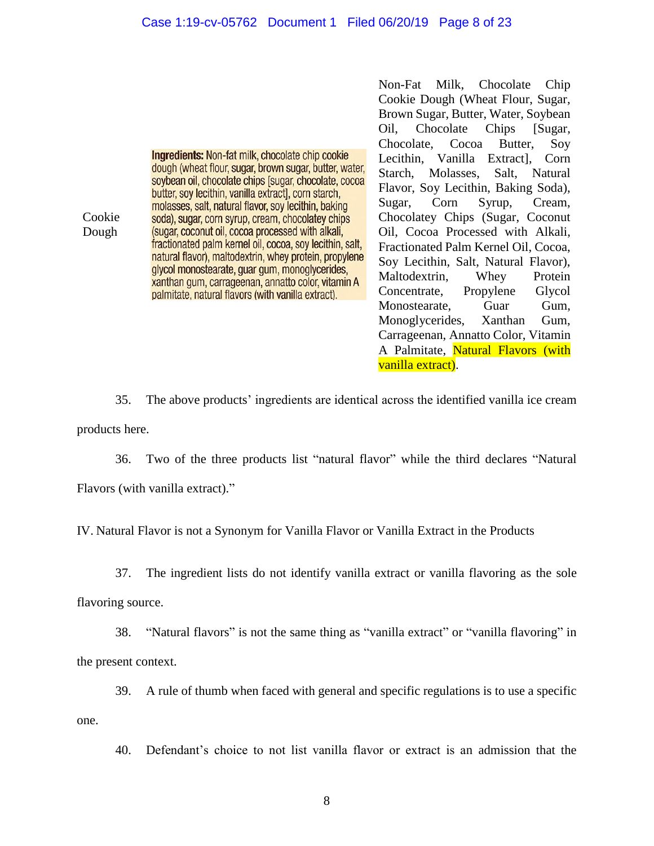Cookie Dough

**Ingredients: Non-fat milk, chocolate chip cookie** dough (wheat flour, sugar, brown sugar, butter, water, soybean oil, chocolate chips [sugar, chocolate, cocoa butter, soy lecithin, vanilla extract], corn starch, molasses, salt, natural flavor, soy lecithin, baking soda), sugar, corn syrup, cream, chocolatey chips (sugar, coconut oil, cocoa processed with alkali, fractionated palm kernel oil, cocoa, soy lecithin, salt, natural flavor), maltodextrin, whey protein, propylene glycol monostearate, guar gum, monoglycerides, xanthan gum, carrageenan, annatto color, vitamin A palmitate, natural flavors (with vanilla extract).

Non-Fat Milk, Chocolate Chip Cookie Dough (Wheat Flour, Sugar, Brown Sugar, Butter, Water, Soybean Oil, Chocolate Chips [Sugar, Chocolate, Cocoa Butter, Soy Lecithin, Vanilla Extract], Corn Starch, Molasses, Salt, Natural Flavor, Soy Lecithin, Baking Soda), Sugar, Corn Syrup, Cream, Chocolatey Chips (Sugar, Coconut Oil, Cocoa Processed with Alkali, Fractionated Palm Kernel Oil, Cocoa, Soy Lecithin, Salt, Natural Flavor), Maltodextrin, Whey Protein Concentrate, Propylene Glycol Monostearate, Guar Gum, Monoglycerides, Xanthan Gum, Carrageenan, Annatto Color, Vitamin A Palmitate, Natural Flavors (with vanilla extract).

35. The above products' ingredients are identical across the identified vanilla ice cream products here.

36. Two of the three products list "natural flavor" while the third declares "Natural Flavors (with vanilla extract)."

IV. Natural Flavor is not a Synonym for Vanilla Flavor or Vanilla Extract in the Products

37. The ingredient lists do not identify vanilla extract or vanilla flavoring as the sole

flavoring source.

38. "Natural flavors" is not the same thing as "vanilla extract" or "vanilla flavoring" in the present context.

39. A rule of thumb when faced with general and specific regulations is to use a specific

one.

40. Defendant's choice to not list vanilla flavor or extract is an admission that the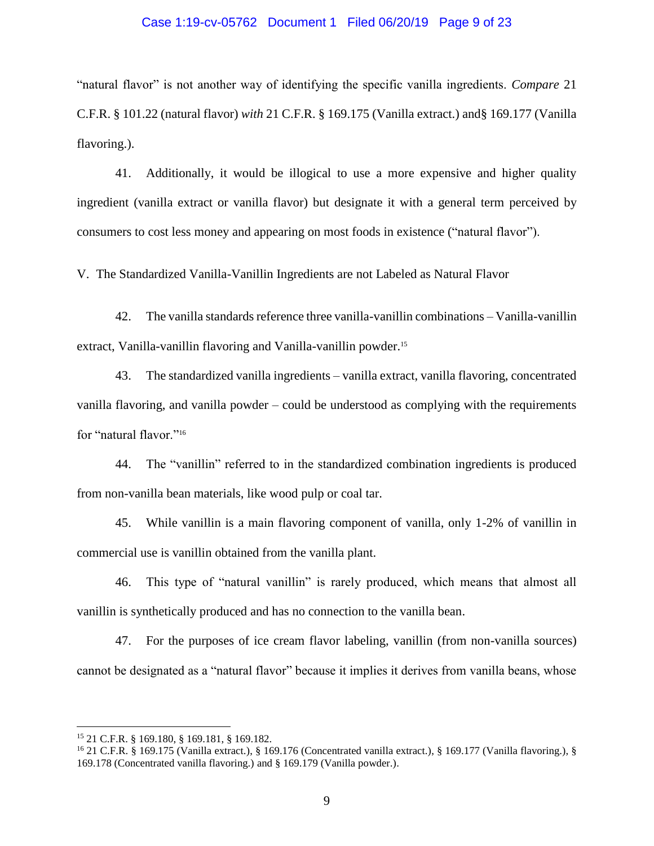### Case 1:19-cv-05762 Document 1 Filed 06/20/19 Page 9 of 23

"natural flavor" is not another way of identifying the specific vanilla ingredients. *Compare* 21 C.F.R. § 101.22 (natural flavor) *with* 21 C.F.R. § 169.175 (Vanilla extract.) and§ 169.177 (Vanilla flavoring.).

41. Additionally, it would be illogical to use a more expensive and higher quality ingredient (vanilla extract or vanilla flavor) but designate it with a general term perceived by consumers to cost less money and appearing on most foods in existence ("natural flavor").

V. The Standardized Vanilla-Vanillin Ingredients are not Labeled as Natural Flavor

42. The vanilla standards reference three vanilla-vanillin combinations – Vanilla-vanillin extract, Vanilla-vanillin flavoring and Vanilla-vanillin powder.<sup>15</sup>

43. The standardized vanilla ingredients – vanilla extract, vanilla flavoring, concentrated vanilla flavoring, and vanilla powder – could be understood as complying with the requirements for "natural flavor."<sup>16</sup>

44. The "vanillin" referred to in the standardized combination ingredients is produced from non-vanilla bean materials, like wood pulp or coal tar.

45. While vanillin is a main flavoring component of vanilla, only 1-2% of vanillin in commercial use is vanillin obtained from the vanilla plant.

46. This type of "natural vanillin" is rarely produced, which means that almost all vanillin is synthetically produced and has no connection to the vanilla bean.

47. For the purposes of ice cream flavor labeling, vanillin (from non-vanilla sources) cannot be designated as a "natural flavor" because it implies it derives from vanilla beans, whose

<sup>15</sup> 21 C.F.R. § 169.180, § 169.181, § 169.182.

<sup>16</sup> 21 C.F.R. § 169.175 (Vanilla extract.), § 169.176 (Concentrated vanilla extract.), § 169.177 (Vanilla flavoring.), § 169.178 (Concentrated vanilla flavoring.) and § 169.179 (Vanilla powder.).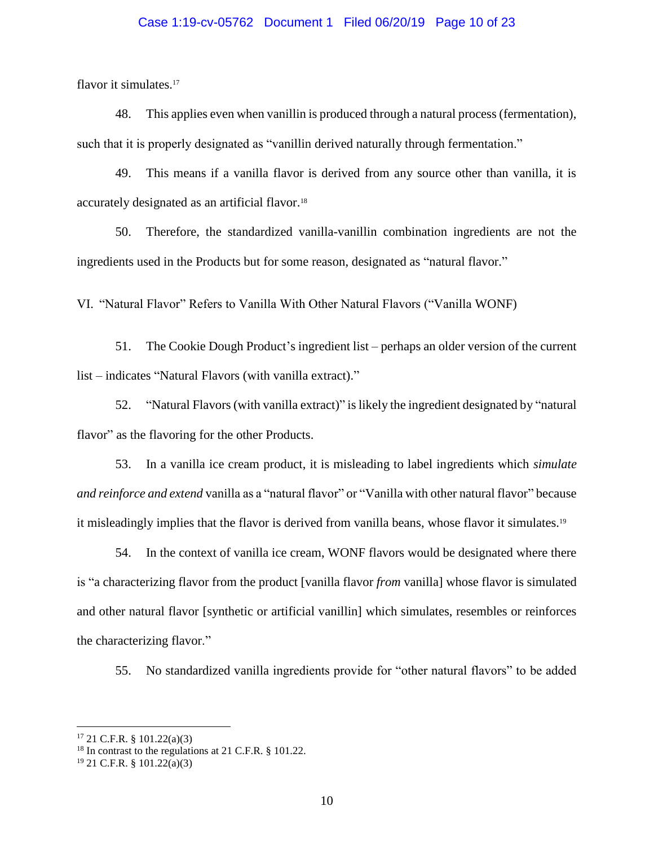### Case 1:19-cv-05762 Document 1 Filed 06/20/19 Page 10 of 23

flavor it simulates.<sup>17</sup>

48. This applies even when vanillin is produced through a natural process (fermentation), such that it is properly designated as "vanillin derived naturally through fermentation."

49. This means if a vanilla flavor is derived from any source other than vanilla, it is accurately designated as an artificial flavor.<sup>18</sup>

50. Therefore, the standardized vanilla-vanillin combination ingredients are not the ingredients used in the Products but for some reason, designated as "natural flavor."

VI. "Natural Flavor" Refers to Vanilla With Other Natural Flavors ("Vanilla WONF)

51. The Cookie Dough Product's ingredient list – perhaps an older version of the current list – indicates "Natural Flavors (with vanilla extract)."

52. "Natural Flavors (with vanilla extract)" is likely the ingredient designated by "natural flavor" as the flavoring for the other Products.

53. In a vanilla ice cream product, it is misleading to label ingredients which *simulate and reinforce and extend* vanilla as a "natural flavor" or "Vanilla with other natural flavor" because it misleadingly implies that the flavor is derived from vanilla beans, whose flavor it simulates.<sup>19</sup>

54. In the context of vanilla ice cream, WONF flavors would be designated where there is "a characterizing flavor from the product [vanilla flavor *from* vanilla] whose flavor is simulated and other natural flavor [synthetic or artificial vanillin] which simulates, resembles or reinforces the characterizing flavor."

55. No standardized vanilla ingredients provide for "other natural flavors" to be added

<sup>17</sup> 21 C.F.R. § 101.22(a)(3)

<sup>&</sup>lt;sup>18</sup> In contrast to the regulations at 21 C.F.R. § 101.22.

<sup>19</sup> 21 C.F.R. § 101.22(a)(3)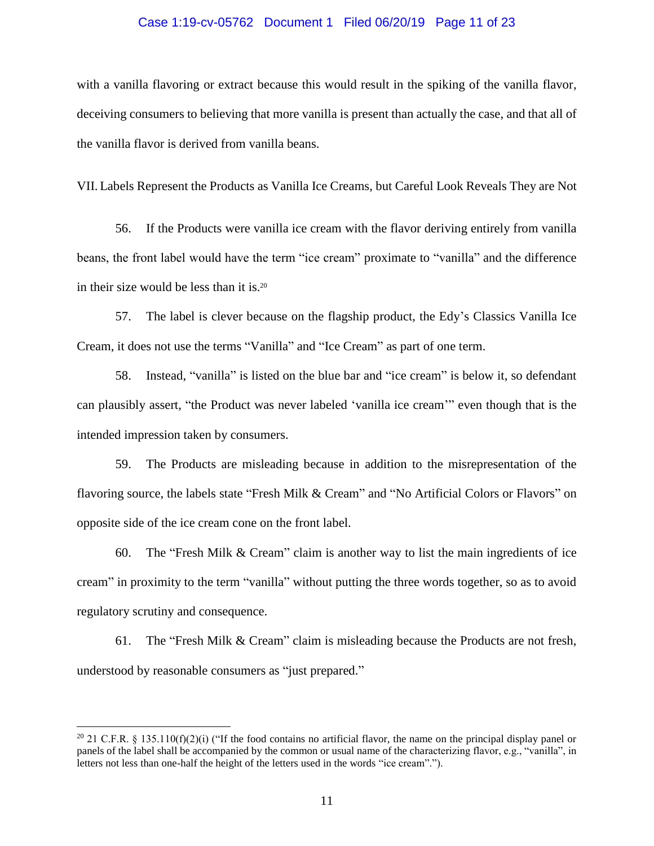### Case 1:19-cv-05762 Document 1 Filed 06/20/19 Page 11 of 23

with a vanilla flavoring or extract because this would result in the spiking of the vanilla flavor, deceiving consumers to believing that more vanilla is present than actually the case, and that all of the vanilla flavor is derived from vanilla beans.

VII. Labels Represent the Products as Vanilla Ice Creams, but Careful Look Reveals They are Not

56. If the Products were vanilla ice cream with the flavor deriving entirely from vanilla beans, the front label would have the term "ice cream" proximate to "vanilla" and the difference in their size would be less than it is.<sup>20</sup>

57. The label is clever because on the flagship product, the Edy's Classics Vanilla Ice Cream, it does not use the terms "Vanilla" and "Ice Cream" as part of one term.

58. Instead, "vanilla" is listed on the blue bar and "ice cream" is below it, so defendant can plausibly assert, "the Product was never labeled 'vanilla ice cream'" even though that is the intended impression taken by consumers.

59. The Products are misleading because in addition to the misrepresentation of the flavoring source, the labels state "Fresh Milk & Cream" and "No Artificial Colors or Flavors" on opposite side of the ice cream cone on the front label.

60. The "Fresh Milk & Cream" claim is another way to list the main ingredients of ice cream" in proximity to the term "vanilla" without putting the three words together, so as to avoid regulatory scrutiny and consequence.

61. The "Fresh Milk & Cream" claim is misleading because the Products are not fresh, understood by reasonable consumers as "just prepared."

<sup>&</sup>lt;sup>20</sup> 21 C.F.R. § 135.110(f)(2)(i) ("If the food contains no artificial flavor, the name on the principal display panel or panels of the label shall be accompanied by the common or usual name of the characterizing flavor, e.g., "vanilla", in letters not less than one-half the height of the letters used in the words "ice cream".").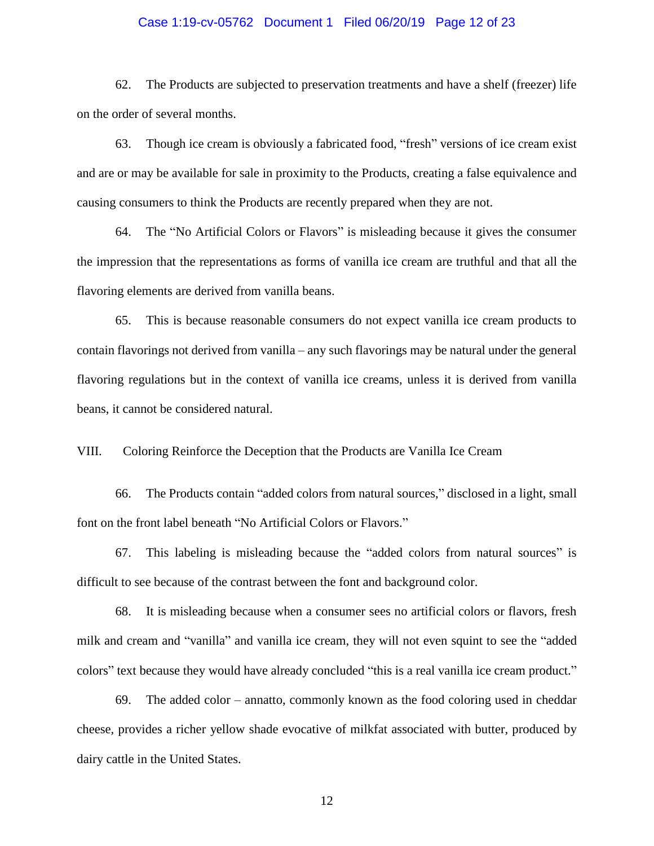### Case 1:19-cv-05762 Document 1 Filed 06/20/19 Page 12 of 23

62. The Products are subjected to preservation treatments and have a shelf (freezer) life on the order of several months.

63. Though ice cream is obviously a fabricated food, "fresh" versions of ice cream exist and are or may be available for sale in proximity to the Products, creating a false equivalence and causing consumers to think the Products are recently prepared when they are not.

64. The "No Artificial Colors or Flavors" is misleading because it gives the consumer the impression that the representations as forms of vanilla ice cream are truthful and that all the flavoring elements are derived from vanilla beans.

65. This is because reasonable consumers do not expect vanilla ice cream products to contain flavorings not derived from vanilla – any such flavorings may be natural under the general flavoring regulations but in the context of vanilla ice creams, unless it is derived from vanilla beans, it cannot be considered natural.

VIII. Coloring Reinforce the Deception that the Products are Vanilla Ice Cream

66. The Products contain "added colors from natural sources," disclosed in a light, small font on the front label beneath "No Artificial Colors or Flavors."

67. This labeling is misleading because the "added colors from natural sources" is difficult to see because of the contrast between the font and background color.

68. It is misleading because when a consumer sees no artificial colors or flavors, fresh milk and cream and "vanilla" and vanilla ice cream, they will not even squint to see the "added colors" text because they would have already concluded "this is a real vanilla ice cream product."

69. The added color – annatto, commonly known as the food coloring used in cheddar cheese, provides a richer yellow shade evocative of milkfat associated with butter, produced by dairy cattle in the United States.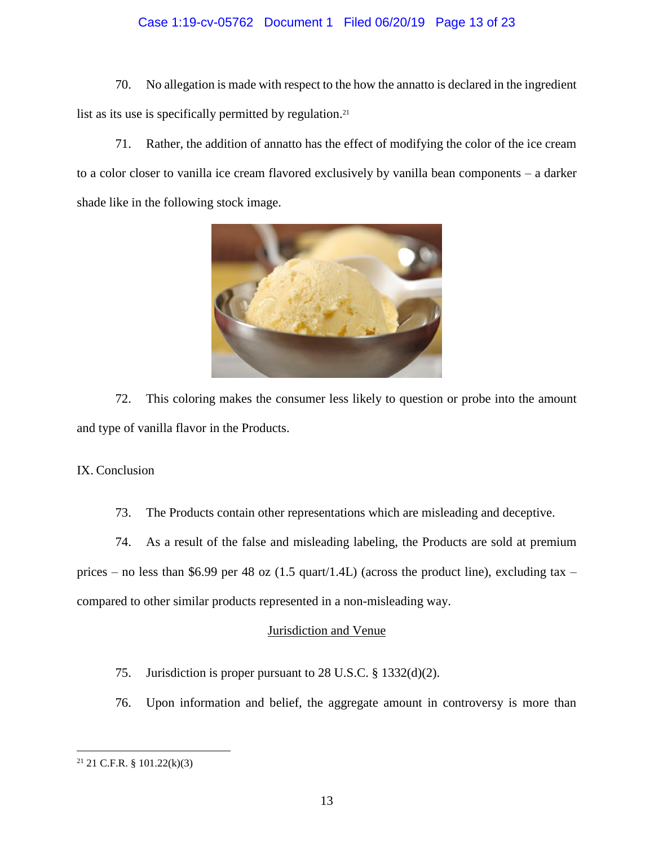# Case 1:19-cv-05762 Document 1 Filed 06/20/19 Page 13 of 23

70. No allegation is made with respect to the how the annatto is declared in the ingredient list as its use is specifically permitted by regulation.<sup>21</sup>

71. Rather, the addition of annatto has the effect of modifying the color of the ice cream to a color closer to vanilla ice cream flavored exclusively by vanilla bean components – a darker shade like in the following stock image.



72. This coloring makes the consumer less likely to question or probe into the amount and type of vanilla flavor in the Products.

### IX. Conclusion

73. The Products contain other representations which are misleading and deceptive.

74. As a result of the false and misleading labeling, the Products are sold at premium prices – no less than \$6.99 per 48 oz (1.5 quart/1.4L) (across the product line), excluding tax – compared to other similar products represented in a non-misleading way.

# Jurisdiction and Venue

- 75. Jurisdiction is proper pursuant to 28 U.S.C. § 1332(d)(2).
- 76. Upon information and belief, the aggregate amount in controversy is more than

 $21$  21 C.F.R. § 101.22(k)(3)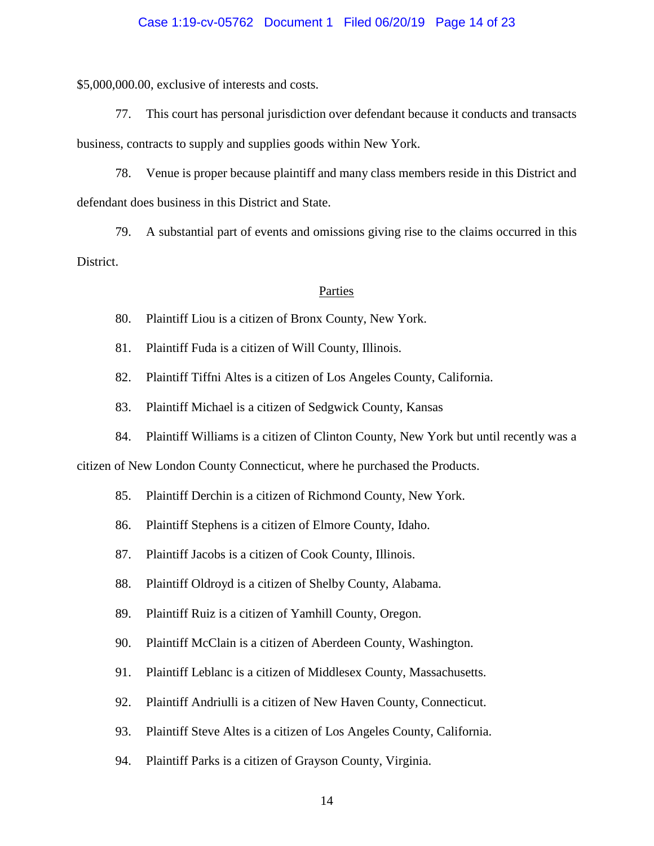### Case 1:19-cv-05762 Document 1 Filed 06/20/19 Page 14 of 23

\$5,000,000.00, exclusive of interests and costs.

77. This court has personal jurisdiction over defendant because it conducts and transacts business, contracts to supply and supplies goods within New York.

78. Venue is proper because plaintiff and many class members reside in this District and defendant does business in this District and State.

79. A substantial part of events and omissions giving rise to the claims occurred in this District.

#### Parties

80. Plaintiff Liou is a citizen of Bronx County, New York.

- 81. Plaintiff Fuda is a citizen of Will County, Illinois.
- 82. Plaintiff Tiffni Altes is a citizen of Los Angeles County, California.
- 83. Plaintiff Michael is a citizen of Sedgwick County, Kansas
- 84. Plaintiff Williams is a citizen of Clinton County, New York but until recently was a

citizen of New London County Connecticut, where he purchased the Products.

- 85. Plaintiff Derchin is a citizen of Richmond County, New York.
- 86. Plaintiff Stephens is a citizen of Elmore County, Idaho.
- 87. Plaintiff Jacobs is a citizen of Cook County, Illinois.
- 88. Plaintiff Oldroyd is a citizen of Shelby County, Alabama.
- 89. Plaintiff Ruiz is a citizen of Yamhill County, Oregon.
- 90. Plaintiff McClain is a citizen of Aberdeen County, Washington.
- 91. Plaintiff Leblanc is a citizen of Middlesex County, Massachusetts.
- 92. Plaintiff Andriulli is a citizen of New Haven County, Connecticut.
- 93. Plaintiff Steve Altes is a citizen of Los Angeles County, California.
- 94. Plaintiff Parks is a citizen of Grayson County, Virginia.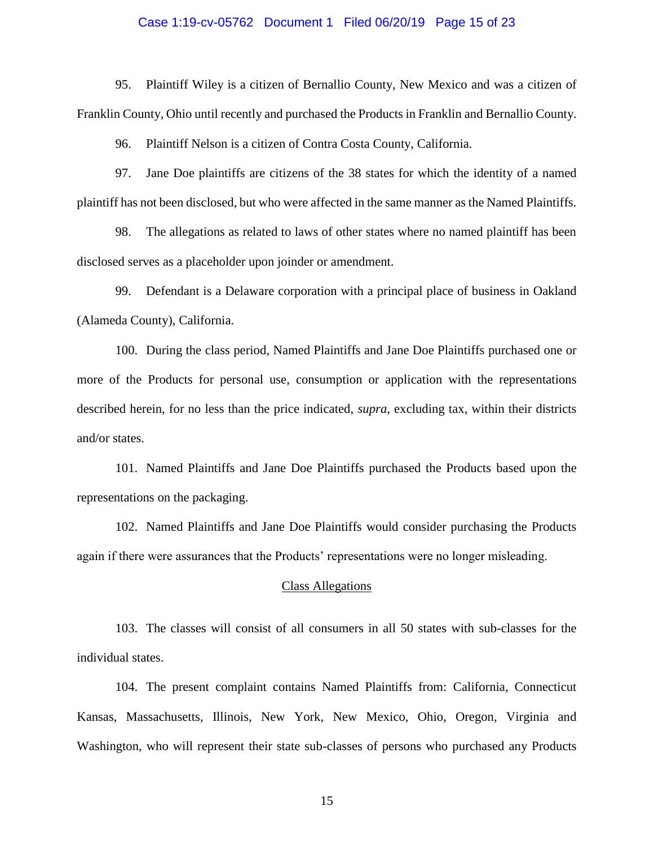### Case 1:19-cv-05762 Document 1 Filed 06/20/19 Page 15 of 23

95. Plaintiff Wiley is a citizen of Bernallio County, New Mexico and was a citizen of Franklin County, Ohio until recently and purchased the Products in Franklin and Bernallio County.

96. Plaintiff Nelson is a citizen of Contra Costa County, California.

97. Jane Doe plaintiffs are citizens of the 38 states for which the identity of a named plaintiff has not been disclosed, but who were affected in the same manner as the Named Plaintiffs.

98. The allegations as related to laws of other states where no named plaintiff has been disclosed serves as a placeholder upon joinder or amendment.

99. Defendant is a Delaware corporation with a principal place of business in Oakland (Alameda County), California.

100. During the class period, Named Plaintiffs and Jane Doe Plaintiffs purchased one or more of the Products for personal use, consumption or application with the representations described herein, for no less than the price indicated, *supra*, excluding tax, within their districts and/or states.

101. Named Plaintiffs and Jane Doe Plaintiffs purchased the Products based upon the representations on the packaging.

102. Named Plaintiffs and Jane Doe Plaintiffs would consider purchasing the Products again if there were assurances that the Products' representations were no longer misleading.

### Class Allegations

103. The classes will consist of all consumers in all 50 states with sub-classes for the individual states.

104. The present complaint contains Named Plaintiffs from: California, Connecticut Kansas, Massachusetts, Illinois, New York, New Mexico, Ohio, Oregon, Virginia and Washington, who will represent their state sub-classes of persons who purchased any Products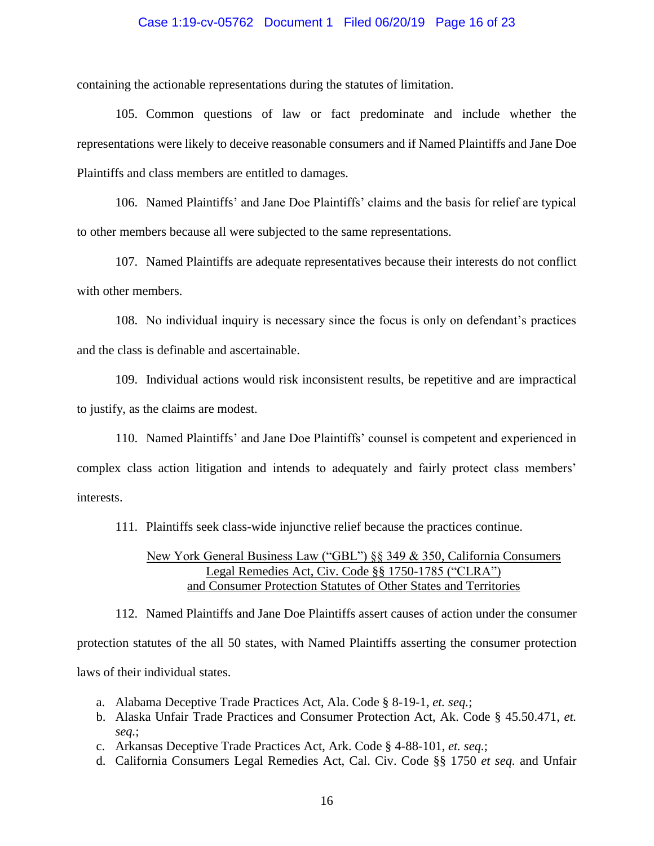### Case 1:19-cv-05762 Document 1 Filed 06/20/19 Page 16 of 23

containing the actionable representations during the statutes of limitation.

105. Common questions of law or fact predominate and include whether the representations were likely to deceive reasonable consumers and if Named Plaintiffs and Jane Doe Plaintiffs and class members are entitled to damages.

106. Named Plaintiffs' and Jane Doe Plaintiffs' claims and the basis for relief are typical to other members because all were subjected to the same representations.

107. Named Plaintiffs are adequate representatives because their interests do not conflict with other members.

108. No individual inquiry is necessary since the focus is only on defendant's practices and the class is definable and ascertainable.

109. Individual actions would risk inconsistent results, be repetitive and are impractical to justify, as the claims are modest.

110. Named Plaintiffs' and Jane Doe Plaintiffs' counsel is competent and experienced in complex class action litigation and intends to adequately and fairly protect class members' interests.

111. Plaintiffs seek class-wide injunctive relief because the practices continue.

# New York General Business Law ("GBL") §§ 349 & 350, California Consumers Legal Remedies Act, Civ. Code §§ 1750-1785 ("CLRA") and Consumer Protection Statutes of Other States and Territories

112. Named Plaintiffs and Jane Doe Plaintiffs assert causes of action under the consumer protection statutes of the all 50 states, with Named Plaintiffs asserting the consumer protection laws of their individual states.

- a. Alabama Deceptive Trade Practices Act, Ala. Code § 8-19-1, *et. seq.*;
- b. Alaska Unfair Trade Practices and Consumer Protection Act, Ak. Code § 45.50.471, *et. seq.*;
- c. Arkansas Deceptive Trade Practices Act, Ark. Code § 4-88-101, *et. seq.*;
- d. California Consumers Legal Remedies Act, Cal. Civ. Code §§ 1750 *et seq.* and Unfair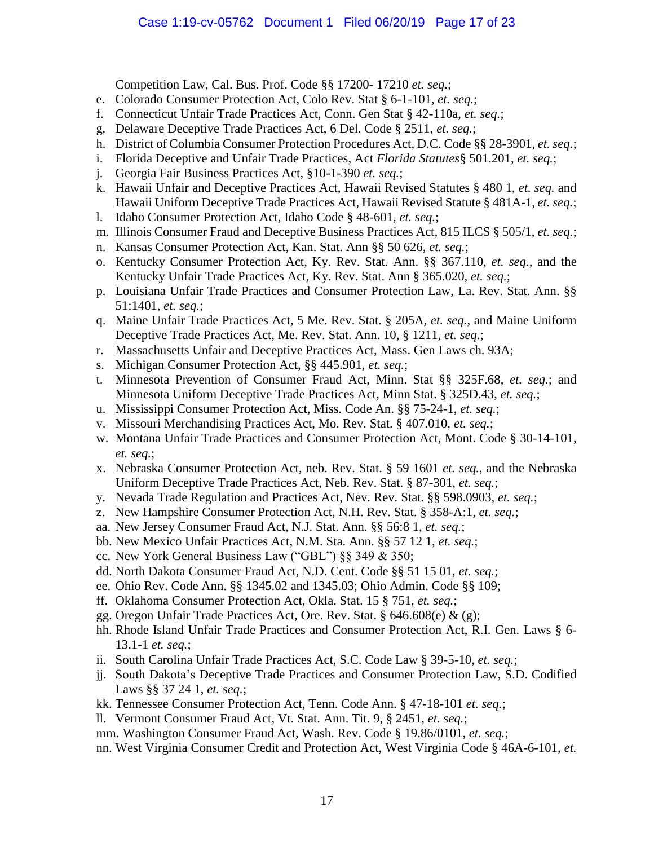Competition Law, Cal. Bus. Prof. Code §§ 17200- 17210 *et. seq.*;

- e. Colorado Consumer Protection Act, Colo Rev. Stat § 6-1-101, *et. seq.*;
- f. Connecticut Unfair Trade Practices Act, Conn. Gen Stat § 42-110a, *et. seq.*;
- g. Delaware Deceptive Trade Practices Act, 6 Del. Code § 2511, *et. seq.*;
- h. District of Columbia Consumer Protection Procedures Act, D.C. Code §§ 28-3901, *et. seq.*;
- i. Florida Deceptive and Unfair Trade Practices, Act *Florida Statutes*§ 501.201, *et. seq.*;
- j. Georgia Fair Business Practices Act, §10-1-390 *et. seq.*;
- k. Hawaii Unfair and Deceptive Practices Act, Hawaii Revised Statutes § 480 1, *et. seq.* and Hawaii Uniform Deceptive Trade Practices Act, Hawaii Revised Statute § 481A-1, *et. seq.*;
- l. Idaho Consumer Protection Act, Idaho Code § 48-601, *et. seq.*;
- m. Illinois Consumer Fraud and Deceptive Business Practices Act, 815 ILCS § 505/1, *et. seq.*;
- n. Kansas Consumer Protection Act, Kan. Stat. Ann §§ 50 626, *et. seq.*;
- o. Kentucky Consumer Protection Act, Ky. Rev. Stat. Ann. §§ 367.110, *et. seq.*, and the Kentucky Unfair Trade Practices Act, Ky. Rev. Stat. Ann § 365.020, *et. seq.*;
- p. Louisiana Unfair Trade Practices and Consumer Protection Law, La. Rev. Stat. Ann. §§ 51:1401, *et. seq.*;
- q. Maine Unfair Trade Practices Act, 5 Me. Rev. Stat. § 205A, *et. seq.*, and Maine Uniform Deceptive Trade Practices Act, Me. Rev. Stat. Ann. 10, § 1211, *et. seq.*;
- r. Massachusetts Unfair and Deceptive Practices Act, Mass. Gen Laws ch. 93A;
- s. Michigan Consumer Protection Act, §§ 445.901, *et. seq.*;
- t. Minnesota Prevention of Consumer Fraud Act, Minn. Stat §§ 325F.68, *et. seq.*; and Minnesota Uniform Deceptive Trade Practices Act, Minn Stat. § 325D.43, *et. seq.*;
- u. Mississippi Consumer Protection Act, Miss. Code An. §§ 75-24-1, *et. seq.*;
- v. Missouri Merchandising Practices Act, Mo. Rev. Stat. § 407.010, *et. seq.*;
- w. Montana Unfair Trade Practices and Consumer Protection Act, Mont. Code § 30-14-101, *et. seq.*;
- x. Nebraska Consumer Protection Act, neb. Rev. Stat. § 59 1601 *et. seq.*, and the Nebraska Uniform Deceptive Trade Practices Act, Neb. Rev. Stat. § 87-301, *et. seq.*;
- y. Nevada Trade Regulation and Practices Act, Nev. Rev. Stat. §§ 598.0903, *et. seq.*;
- z. New Hampshire Consumer Protection Act, N.H. Rev. Stat. § 358-A:1, *et. seq.*;
- aa. New Jersey Consumer Fraud Act, N.J. Stat. Ann. §§ 56:8 1, *et. seq.*;
- bb. New Mexico Unfair Practices Act, N.M. Sta. Ann. §§ 57 12 1, *et. seq.*;
- cc. New York General Business Law ("GBL") §§ 349 & 350;
- dd. North Dakota Consumer Fraud Act, N.D. Cent. Code §§ 51 15 01, *et. seq.*;
- ee. Ohio Rev. Code Ann. §§ 1345.02 and 1345.03; Ohio Admin. Code §§ 109;
- ff. Oklahoma Consumer Protection Act, Okla. Stat. 15 § 751, *et. seq.*;
- gg. Oregon Unfair Trade Practices Act, Ore. Rev. Stat. § 646.608(e) & (g);
- hh. Rhode Island Unfair Trade Practices and Consumer Protection Act, R.I. Gen. Laws § 6- 13.1-1 *et. seq.*;
- ii. South Carolina Unfair Trade Practices Act, S.C. Code Law § 39-5-10, *et. seq.*;
- jj. South Dakota's Deceptive Trade Practices and Consumer Protection Law, S.D. Codified Laws §§ 37 24 1, *et. seq.*;
- kk. Tennessee Consumer Protection Act, Tenn. Code Ann. § 47-18-101 *et. seq.*;
- ll. Vermont Consumer Fraud Act, Vt. Stat. Ann. Tit. 9, § 2451, *et. seq.*;
- mm. Washington Consumer Fraud Act, Wash. Rev. Code § 19.86/0101, *et. seq.*;
- nn. West Virginia Consumer Credit and Protection Act, West Virginia Code § 46A-6-101, *et.*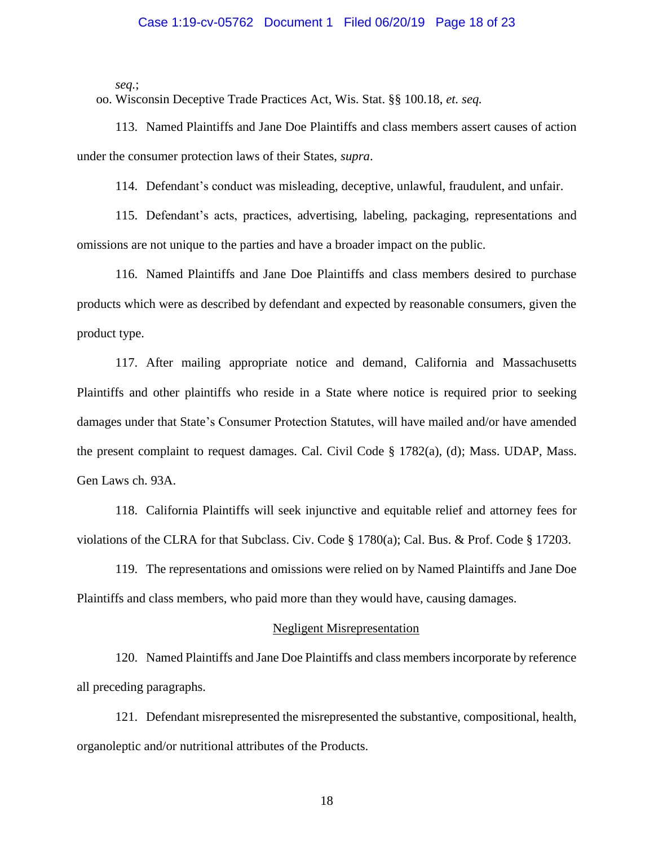### Case 1:19-cv-05762 Document 1 Filed 06/20/19 Page 18 of 23

*seq.*;

oo. Wisconsin Deceptive Trade Practices Act, Wis. Stat. §§ 100.18, *et. seq.*

113. Named Plaintiffs and Jane Doe Plaintiffs and class members assert causes of action under the consumer protection laws of their States, *supra*.

114. Defendant's conduct was misleading, deceptive, unlawful, fraudulent, and unfair.

115. Defendant's acts, practices, advertising, labeling, packaging, representations and omissions are not unique to the parties and have a broader impact on the public.

116. Named Plaintiffs and Jane Doe Plaintiffs and class members desired to purchase products which were as described by defendant and expected by reasonable consumers, given the product type.

117. After mailing appropriate notice and demand, California and Massachusetts Plaintiffs and other plaintiffs who reside in a State where notice is required prior to seeking damages under that State's Consumer Protection Statutes, will have mailed and/or have amended the present complaint to request damages. Cal. Civil Code § 1782(a), (d); Mass. UDAP, Mass. Gen Laws ch. 93A.

118. California Plaintiffs will seek injunctive and equitable relief and attorney fees for violations of the CLRA for that Subclass. Civ. Code § 1780(a); Cal. Bus. & Prof. Code § 17203.

119. The representations and omissions were relied on by Named Plaintiffs and Jane Doe Plaintiffs and class members, who paid more than they would have, causing damages.

### Negligent Misrepresentation

120. Named Plaintiffs and Jane Doe Plaintiffs and class members incorporate by reference all preceding paragraphs.

121. Defendant misrepresented the misrepresented the substantive, compositional, health, organoleptic and/or nutritional attributes of the Products.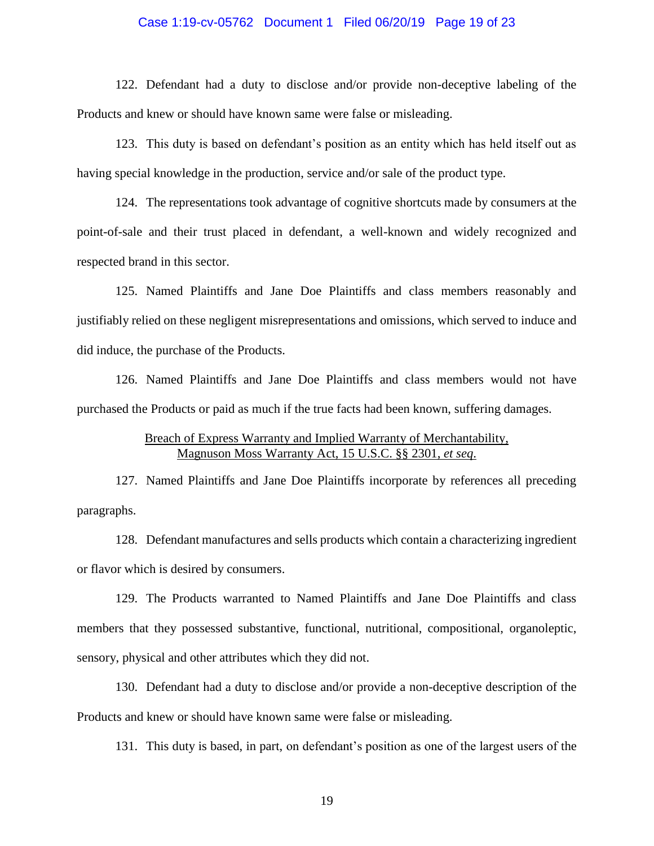### Case 1:19-cv-05762 Document 1 Filed 06/20/19 Page 19 of 23

122. Defendant had a duty to disclose and/or provide non-deceptive labeling of the Products and knew or should have known same were false or misleading.

123. This duty is based on defendant's position as an entity which has held itself out as having special knowledge in the production, service and/or sale of the product type.

124. The representations took advantage of cognitive shortcuts made by consumers at the point-of-sale and their trust placed in defendant, a well-known and widely recognized and respected brand in this sector.

125. Named Plaintiffs and Jane Doe Plaintiffs and class members reasonably and justifiably relied on these negligent misrepresentations and omissions, which served to induce and did induce, the purchase of the Products.

126. Named Plaintiffs and Jane Doe Plaintiffs and class members would not have purchased the Products or paid as much if the true facts had been known, suffering damages.

# Breach of Express Warranty and Implied Warranty of Merchantability, Magnuson Moss Warranty Act, 15 U.S.C. §§ 2301, *et seq*.

127. Named Plaintiffs and Jane Doe Plaintiffs incorporate by references all preceding paragraphs.

128. Defendant manufactures and sells products which contain a characterizing ingredient or flavor which is desired by consumers.

129. The Products warranted to Named Plaintiffs and Jane Doe Plaintiffs and class members that they possessed substantive, functional, nutritional, compositional, organoleptic, sensory, physical and other attributes which they did not.

130. Defendant had a duty to disclose and/or provide a non-deceptive description of the Products and knew or should have known same were false or misleading.

131. This duty is based, in part, on defendant's position as one of the largest users of the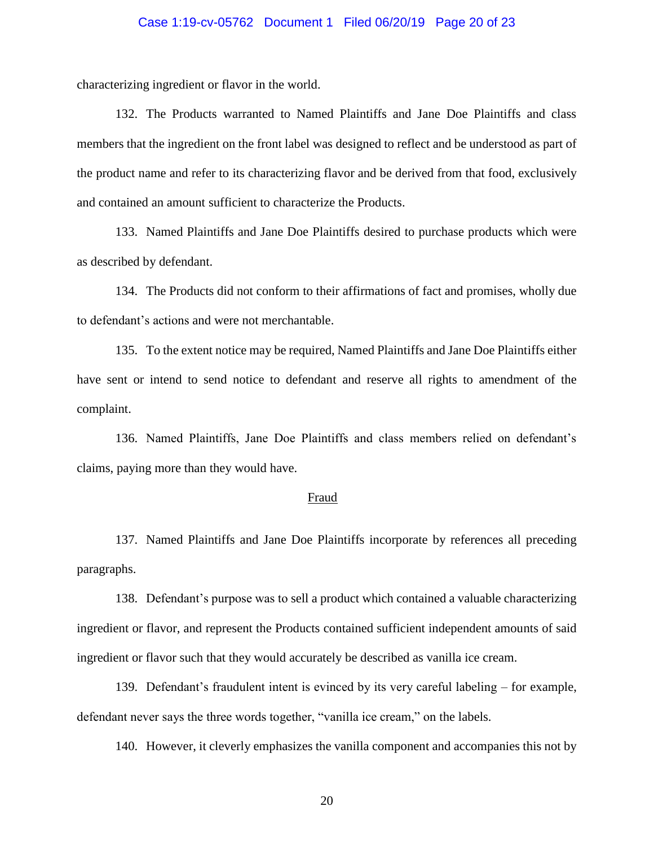### Case 1:19-cv-05762 Document 1 Filed 06/20/19 Page 20 of 23

characterizing ingredient or flavor in the world.

132. The Products warranted to Named Plaintiffs and Jane Doe Plaintiffs and class members that the ingredient on the front label was designed to reflect and be understood as part of the product name and refer to its characterizing flavor and be derived from that food, exclusively and contained an amount sufficient to characterize the Products.

133. Named Plaintiffs and Jane Doe Plaintiffs desired to purchase products which were as described by defendant.

134. The Products did not conform to their affirmations of fact and promises, wholly due to defendant's actions and were not merchantable.

135. To the extent notice may be required, Named Plaintiffs and Jane Doe Plaintiffs either have sent or intend to send notice to defendant and reserve all rights to amendment of the complaint.

136. Named Plaintiffs, Jane Doe Plaintiffs and class members relied on defendant's claims, paying more than they would have.

#### Fraud

137. Named Plaintiffs and Jane Doe Plaintiffs incorporate by references all preceding paragraphs.

138. Defendant's purpose was to sell a product which contained a valuable characterizing ingredient or flavor, and represent the Products contained sufficient independent amounts of said ingredient or flavor such that they would accurately be described as vanilla ice cream.

139. Defendant's fraudulent intent is evinced by its very careful labeling – for example, defendant never says the three words together, "vanilla ice cream," on the labels.

140. However, it cleverly emphasizes the vanilla component and accompanies this not by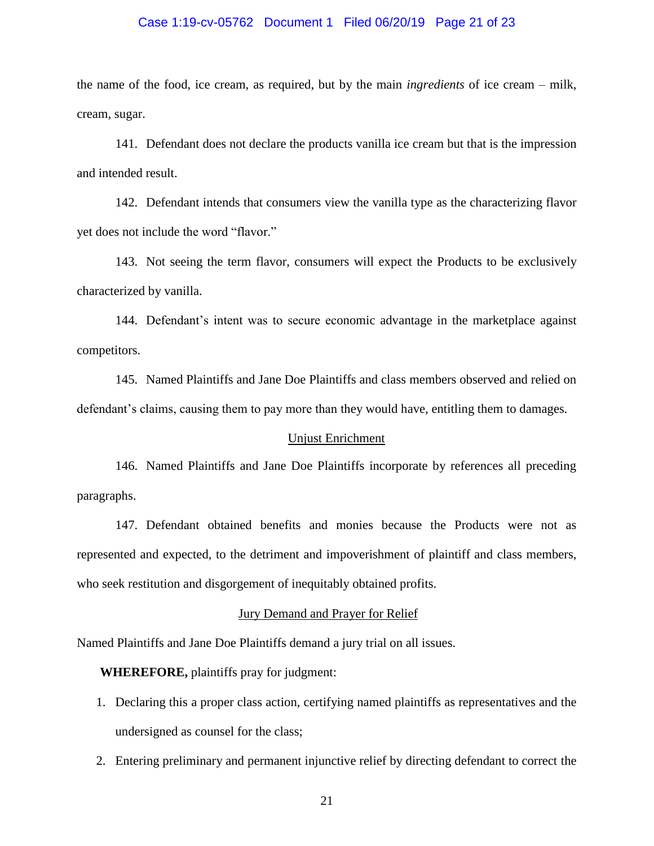### Case 1:19-cv-05762 Document 1 Filed 06/20/19 Page 21 of 23

the name of the food, ice cream, as required, but by the main *ingredients* of ice cream – milk, cream, sugar.

141. Defendant does not declare the products vanilla ice cream but that is the impression and intended result.

142. Defendant intends that consumers view the vanilla type as the characterizing flavor yet does not include the word "flavor."

143. Not seeing the term flavor, consumers will expect the Products to be exclusively characterized by vanilla.

144. Defendant's intent was to secure economic advantage in the marketplace against competitors.

145. Named Plaintiffs and Jane Doe Plaintiffs and class members observed and relied on defendant's claims, causing them to pay more than they would have, entitling them to damages.

### Unjust Enrichment

146. Named Plaintiffs and Jane Doe Plaintiffs incorporate by references all preceding paragraphs.

147. Defendant obtained benefits and monies because the Products were not as represented and expected, to the detriment and impoverishment of plaintiff and class members, who seek restitution and disgorgement of inequitably obtained profits.

### Jury Demand and Prayer for Relief

Named Plaintiffs and Jane Doe Plaintiffs demand a jury trial on all issues.

**WHEREFORE,** plaintiffs pray for judgment:

- 1. Declaring this a proper class action, certifying named plaintiffs as representatives and the undersigned as counsel for the class;
- 2. Entering preliminary and permanent injunctive relief by directing defendant to correct the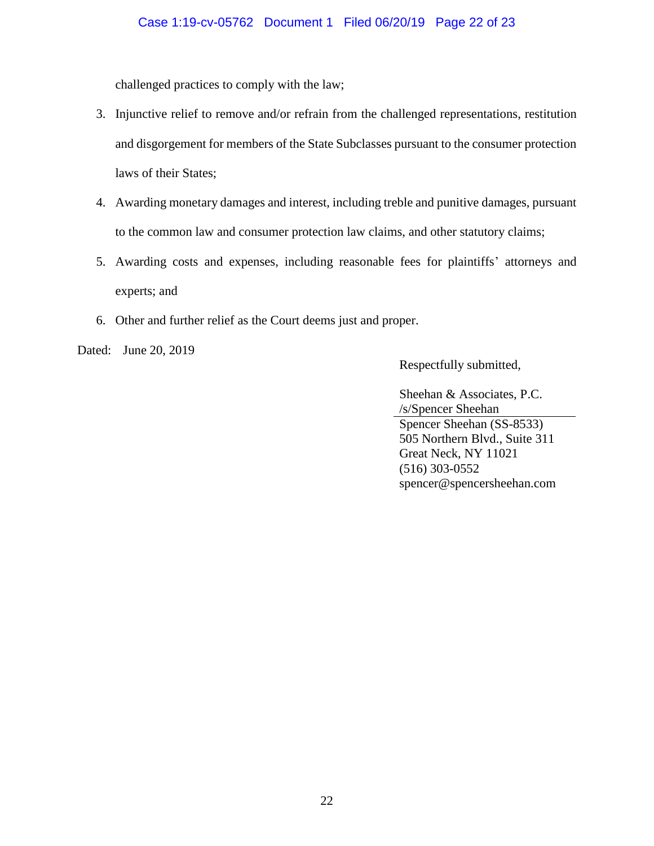challenged practices to comply with the law;

- 3. Injunctive relief to remove and/or refrain from the challenged representations, restitution and disgorgement for members of the State Subclasses pursuant to the consumer protection laws of their States;
- 4. Awarding monetary damages and interest, including treble and punitive damages, pursuant to the common law and consumer protection law claims, and other statutory claims;
- 5. Awarding costs and expenses, including reasonable fees for plaintiffs' attorneys and experts; and
- 6. Other and further relief as the Court deems just and proper.

Dated: June 20, 2019

Respectfully submitted,

Sheehan & Associates, P.C. /s/Spencer Sheehan Spencer Sheehan (SS-8533) 505 Northern Blvd., Suite 311 Great Neck, NY 11021 (516) 303-0552 spencer@spencersheehan.com